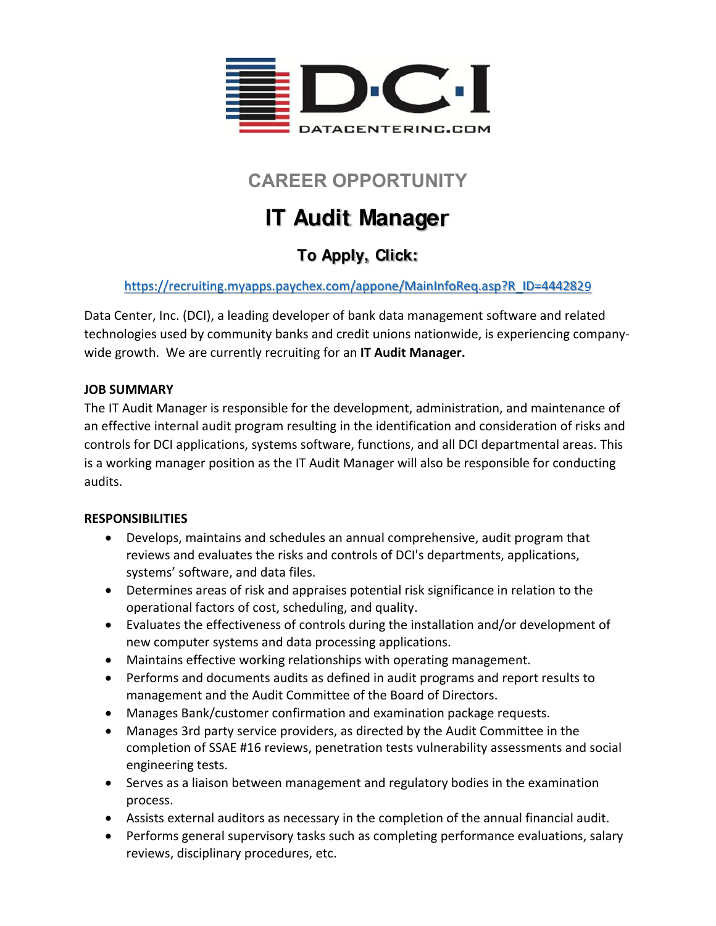

## **CAREER OPPORTUNITY**

# **IT Audit Manager**

## **To Apply, Click:**

#### https://recruiting.myapps.paychex.com/appone/MainInfoReq.asp?R\_ID=4442829

Data Center, Inc. (DCI), a leading developer of bank data management software and related technologies used by community banks and credit unions nationwide, is experiencing company‐ wide growth. We are currently recruiting for an **IT Audit Manager.** 

#### **JOB SUMMARY**

The IT Audit Manager is responsible for the development, administration, and maintenance of an effective internal audit program resulting in the identification and consideration of risks and controls for DCI applications, systems software, functions, and all DCI departmental areas. This is a working manager position as the IT Audit Manager will also be responsible for conducting audits.

#### **RESPONSIBILITIES**

- Develops, maintains and schedules an annual comprehensive, audit program that reviews and evaluates the risks and controls of DCI's departments, applications, systems' software, and data files.
- Determines areas of risk and appraises potential risk significance in relation to the operational factors of cost, scheduling, and quality.
- Evaluates the effectiveness of controls during the installation and/or development of new computer systems and data processing applications.
- Maintains effective working relationships with operating management.
- Performs and documents audits as defined in audit programs and report results to management and the Audit Committee of the Board of Directors.
- Manages Bank/customer confirmation and examination package requests.
- Manages 3rd party service providers, as directed by the Audit Committee in the completion of SSAE #16 reviews, penetration tests vulnerability assessments and social engineering tests.
- Serves as a liaison between management and regulatory bodies in the examination process.
- Assists external auditors as necessary in the completion of the annual financial audit.
- Performs general supervisory tasks such as completing performance evaluations, salary reviews, disciplinary procedures, etc.